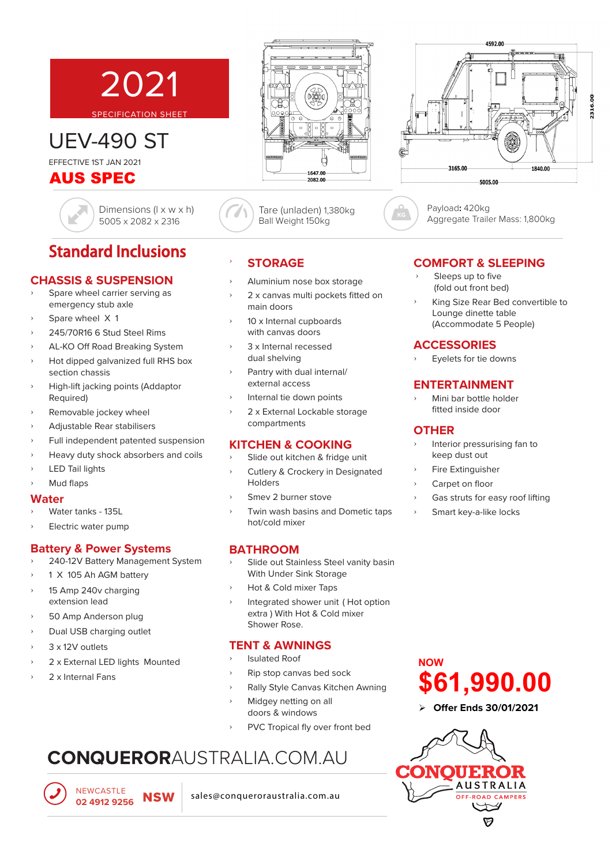# SPECIFICATION SHEET

UEV-490 ST EFFECTIVE 1ST JAN 2021

### AUS SPEC

Dimensions (l x w x h) 5005 x 2082 x 2316

2021

# Standard Inclusions

### **CHASSIS & SUSPENSION**

- Spare wheel carrier serving as emergency stub axle
- Spare wheel X 1
- ʟ 245/70R16 6 Stud Steel Rims
- ʟ AL-KO Off Road Breaking System
- ʟ Hot dipped galvanized full RHS box section chassis
- ʟ High-lift jacking points (Addaptor Required)
- ʟ Removable jockey wheel
- ʟ Adjustable Rear stabilisers
- ʟ Full independent patented suspension
- ʟ Heavy duty shock absorbers and coils
- LED Tail lights
- Mud flaps

### **Water**

- ʟ Water tanks 135L
- ʟ Electric water pump

### **Battery & Power Systems**

- ʟ 240-12V Battery Management System
- 1 X 105 Ah AGM battery
- ʟ 15 Amp 240v charging extension lead
- ʟ 50 Amp Anderson plug
- Dual USB charging outlet
- 3 x 12V outlets
- 2 x External LED lights Mounted
- ʟ 2 x Internal Fans

### ʟ **STORAGE**

ʟ Aluminium nose box storage

Ball Weight 150kg

- ʟ 2 x canvas multi pockets fitted on main doors
- 10 x Internal cupboards with canvas doors
- 3 x Internal recessed dual shelving
- Pantry with dual internal/ external access
- ʟ Internal tie down points
- ʟ 2 x External Lockable storage compartments

### **KITCHEN & COOKING**

- Slide out kitchen & fridge unit
- ʟ Cutlery & Crockery in Designated **Holders**
- Smey 2 burner stove
- ʟ Twin wash basins and Dometic taps hot/cold mixer

### **BATHROOM**

- Slide out Stainless Steel vanity basin With Under Sink Storage
- ʟ Hot & Cold mixer Taps
- Integrated shower unit (Hot option extra ) With Hot & Cold mixer Shower Rose.

### **TENT & AWNINGS**

- ʟ Isulated Roof
- ʟ Rip stop canvas bed sock
- ʟ Rally Style Canvas Kitchen Awning
- Midgey netting on all doors & windows
- PVC Tropical fly over front bed

# **CONQUEROR**AUSTRALIA.COM.AU

NEWCASTLE

NEWCASTLE<br>02 4912 9256 **NSW** sales@conqueroraustralia.com.au

### **COMFORT & SLEEPING**

- Sleeps up to five (fold out front bed)
- ʟ King Size Rear Bed convertible to Lounge dinette table (Accommodate 5 People)

### **ACCESSORIES**

ʟ Eyelets for tie downs

### **ENTERTAINMENT**

ʟ Mini bar bottle holder fitted inside door

### **OTHER**

**NOW**

- ʟ Interior pressurising fan to keep dust out
- ʟ Fire Extinguisher
- ʟ Carpet on floor
- Gas struts for easy roof lifting
- Smart key-a-like locks

## **Offer Ends 30/01/2021 \$61,990.00**





Tare (unladen) 1,380kg



Payload**:** 420kg Aggregate Trailer Mass: 1,800kg